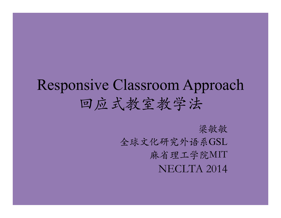# Responsive Classroom Approach 回应式教室教学法

梁敏敏 全球⽂化研究外语系GSL 麻省理⼯学院MIT NECLTA 2014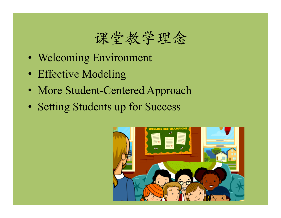### 课堂教学理念

- Welcoming Environment
- Effective Modeling
- More Student-Centered Approach
- Setting Students up for Success

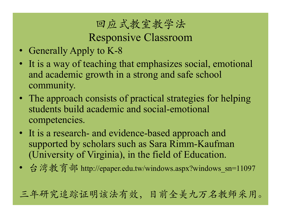### 回应式教室教学法

Responsive Classroom

- Generally Apply to K-8
- It is a way of teaching that emphasizes social, emotional and academic growth in a strong and safe school community.
- The approach consists of practical strategies for helping students build academic and social-emotional competencies.
- It is a research- and evidence-based approach and supported by scholars such as Sara Rimm-Kaufman (University of Virginia), in the field of Education.
- 台湾教育部 http://epaper.edu.tw/windows.aspx?windows\_sn=11097

三年研究追踪证明该法有效,目前全美九万名教师采用。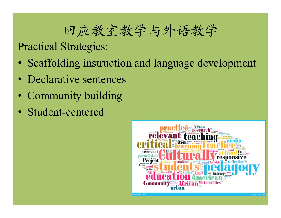### 回应教室教学与外语教学

Practical Strategies:

- Scaffolding instruction and language development
- Declarative sentences
- Community building
- Student-centered

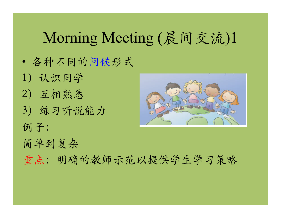### Morning Meeting (晨间交流)1

- 各种不同的问候形式
- 1)认识同学 2)互相熟悉 3) 练习听说能力 例子:



 $R_{\rm eff}$  as a set  $\sim$  374  $\mu$  m  $\sim$  374 $\mu$  pixels 9/23/14  $\mu$  pixels 9/23/14  $\mu$ 

- 简单到复杂
- 重点: 明确的教师示范以提供学生学习策略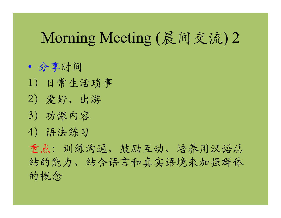### Morning Meeting (晨间交流) 2

• 分享时间

- 1)日常⽣活琐事
- 2)爱好、出游
- 3)功课内容

4)语法练习

重点:训练沟通、鼓励互动、培养用汉语总 结的能⼒、结合语⾔和真实语境来加强群体 的概念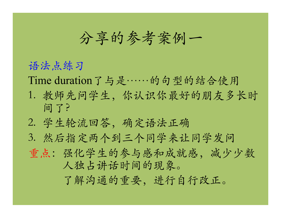分享的参考案例一

#### 语法点练习

Time duration了与是……的句型的结合使用

- 1. 教师先问学⽣,你认识你最好的朋友多长时 间了?
- 2. 学⽣轮流回答,确定语法正确
- 3. 然后指定两个到三个同学来让同学发问
- 重点:强化学⽣的参与感和成就感,减少少数 ⼈独占讲话时间的现象。

了解沟通的重要,进行自行改正。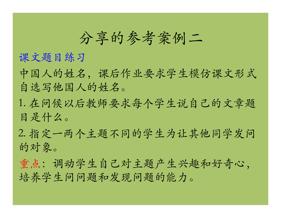### 分享的参考案例二

课文题目练习

中国人的姓名,课后作业要求学生模仿课文形式 自选写他国⼈的姓名。

1. 在问候以后教师要求每个学生说自己的文章题 目是什么。

2. 指定一两个主题不同的学生为让其他同学发问 的对象。

重点:调动学生自己对主题产生兴趣和好奇心, 培养学生问问题和发现问题的能力。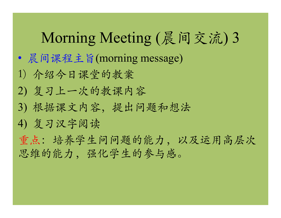## Morning Meeting (晨间交流) 3

- 晨间课程主旨(morning message)
- 1) 介绍今日课堂的教案
- 2) 复习上⼀次的教课内容
- 3) 根据课文内容,提出问题和想法
- 4) 复习汉字阅读

重点:培养学生问问题的能力,以及运用高层次 思维的能力,强化学生的参与感。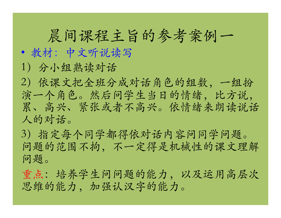## 晨间课程主旨的参考案例一

### • 教材:中⽂听说读写

1)分小组熟读对话

2)依课⽂把全班分成对话角⾊的组数,⼀组扮 演一个角色。然后问学生当日的情绪,比方说, 累、高兴、紧张或者不高兴。依情绪来朗读说话 ⼈的对话。

3)指定每个同学都得依对话内容问同学问题。 问题的范围不拘,不一定得是机械性的课文理解 问题。

重点:培养学生问问题的能力,以及运用高层次 思维的能力,加强认汉字的能力。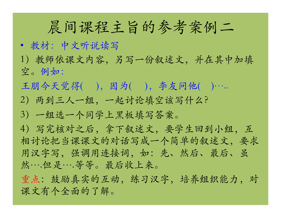### 晨间课程主旨的参考案例二

- 教材:中⽂听说读写
- 1)教师依课⽂内容,另写⼀份叙述⽂,并在其中加填 空。例如:
- 王朋今天觉得(),因为(),李友问他()……
- 2)两到三⼈⼀组,⼀起讨论填空该写什么?
- 3) 一组选一个同学上黑板填写答案。

4)写完核对之后,拿下叙述⽂,要学⽣回到小组,互 相讨论把当课课文的对话写成一个简单的叙述文,要求 用汉字写, 强调用连接词, 如: 先、然后、最后、虽 然….但是….等等。最后收上来。

重点: 鼓励真实的互动, 练习汉字, 培养组织能力, 对 课⽂有个全面的了解。